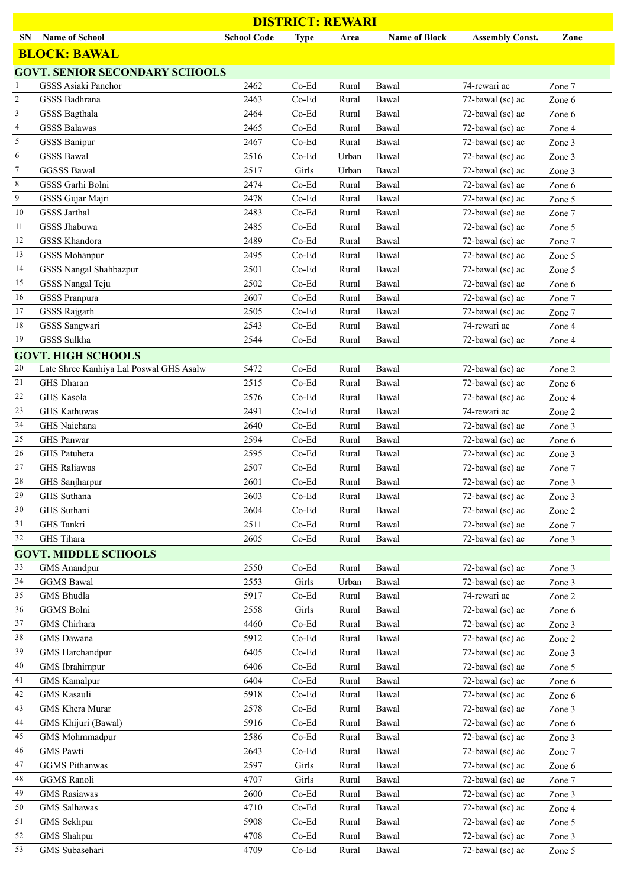| <b>DISTRICT: REWARI</b>  |                                             |                    |                    |                |                      |                                      |                  |  |
|--------------------------|---------------------------------------------|--------------------|--------------------|----------------|----------------------|--------------------------------------|------------------|--|
| SN                       | <b>Name of School</b>                       | <b>School Code</b> | <b>Type</b>        | Area           | <b>Name of Block</b> | <b>Assembly Const.</b>               | Zone             |  |
|                          | <b>BLOCK: BAWAL</b>                         |                    |                    |                |                      |                                      |                  |  |
|                          | <b>GOVT. SENIOR SECONDARY SCHOOLS</b>       |                    |                    |                |                      |                                      |                  |  |
|                          | GSSS Asiaki Panchor                         | 2462               | $Co-Ed$            | Rural          | Bawal                | 74-rewari ac                         | Zone 7           |  |
| $\overline{c}$           | GSSS Badhrana                               | 2463               | Co-Ed              | Rural          | Bawal                | 72-bawal (sc) ac                     | Zone 6           |  |
| 3                        | GSSS Bagthala                               | 2464               | Co-Ed              | Rural          | Bawal                | 72-bawal (sc) ac                     | Zone 6           |  |
| $\overline{\mathcal{L}}$ | <b>GSSS Balawas</b>                         | 2465               | Co-Ed              | Rural          | Bawal                | 72-bawal (sc) ac                     | Zone 4           |  |
| 5                        | <b>GSSS Banipur</b>                         | 2467               | Co-Ed              | Rural          | Bawal                | 72-bawal (sc) ac                     | Zone 3           |  |
| 6                        | <b>GSSS Bawal</b>                           | 2516               | Co-Ed              | Urban          | Bawal                | 72-bawal (sc) ac                     | Zone 3           |  |
| $\tau$                   | <b>GGSSS Bawal</b>                          | 2517               | Girls              | Urban          | Bawal                | 72-bawal (sc) ac                     | Zone 3           |  |
| 8                        | GSSS Garhi Bolni                            | 2474               | $Co-Ed$            | Rural          | Bawal                | 72-bawal (sc) ac                     | Zone 6           |  |
| 9                        | GSSS Gujar Majri                            | 2478               | Co-Ed              | Rural          | Bawal                | 72-bawal (sc) ac                     | Zone 5           |  |
| 10<br>11                 | <b>GSSS</b> Jarthal<br>GSSS Jhabuwa         | 2483<br>2485       | $Co-Ed$<br>$Co-Ed$ | Rural<br>Rural | Bawal<br>Bawal       | 72-bawal (sc) ac<br>72-bawal (sc) ac | Zone 7           |  |
| 12                       | <b>GSSS Khandora</b>                        | 2489               | Co-Ed              | Rural          | Bawal                | 72-bawal (sc) ac                     | Zone 5<br>Zone 7 |  |
| 13                       | <b>GSSS Mohanpur</b>                        | 2495               | Co-Ed              | Rural          | Bawal                | 72-bawal (sc) ac                     | Zone 5           |  |
| 14                       | GSSS Nangal Shahbazpur                      | 2501               | Co-Ed              | Rural          | Bawal                | 72-bawal (sc) ac                     | Zone 5           |  |
| 15                       | GSSS Nangal Teju                            | 2502               | $Co-Ed$            | Rural          | Bawal                | 72-bawal (sc) ac                     | Zone 6           |  |
| 16                       | <b>GSSS Pranpura</b>                        | 2607               | $Co-Ed$            | Rural          | Bawal                | 72-bawal (sc) ac                     | Zone 7           |  |
| 17                       | <b>GSSS Rajgarh</b>                         | 2505               | Co-Ed              | Rural          | Bawal                | 72-bawal (sc) ac                     | Zone 7           |  |
| 18                       | GSSS Sangwari                               | 2543               | Co-Ed              | Rural          | Bawal                | 74-rewari ac                         | Zone 4           |  |
| 19                       | GSSS Sulkha                                 | 2544               | Co-Ed              | Rural          | Bawal                | 72-bawal (sc) ac                     | Zone 4           |  |
|                          | <b>GOVT. HIGH SCHOOLS</b>                   |                    |                    |                |                      |                                      |                  |  |
| 20                       | Late Shree Kanhiya Lal Poswal GHS Asalw     | 5472               | Co-Ed              | Rural          | Bawal                | 72-bawal (sc) ac                     | Zone 2           |  |
| 21                       | GHS Dharan                                  | 2515               | Co-Ed              | Rural          | Bawal                | 72-bawal (sc) ac                     | Zone 6           |  |
| 22                       | <b>GHS Kasola</b>                           | 2576               | $Co-Ed$            | Rural          | Bawal                | 72-bawal (sc) ac                     | Zone 4           |  |
| 23                       | <b>GHS Kathuwas</b>                         | 2491               | $Co-Ed$            | Rural          | Bawal                | 74-rewari ac                         | Zone 2           |  |
| 24                       | GHS Naichana                                | 2640               | Co-Ed              | Rural          | Bawal                | 72-bawal (sc) ac                     | Zone 3           |  |
| 25                       | <b>GHS</b> Panwar                           | 2594               | Co-Ed              | Rural          | Bawal                | 72-bawal (sc) ac                     | Zone 6           |  |
| 26                       | GHS Patuhera                                | 2595               | Co-Ed              | Rural          | Bawal                | 72-bawal (sc) ac                     | Zone 3           |  |
| 27                       | <b>GHS Raliawas</b>                         | 2507               | Co-Ed              | Rural          | Bawal                | 72-bawal (sc) ac                     | Zone 7           |  |
| 28                       | GHS Sanjharpur                              | 2601               | Co-Ed              | Rural          | Bawal                | 72-bawal (sc) ac                     | Zone 3           |  |
| 29<br>30                 | GHS Suthana<br>GHS Suthani                  | 2603<br>2604       | $Co-Ed$<br>Co-Ed   | Rural<br>Rural | Bawal<br>Bawal       | 72-bawal (sc) ac<br>72-bawal (sc) ac | Zone 3<br>Zone 2 |  |
| 31                       | GHS Tankri                                  | 2511               | Co-Ed              | Rural          | Bawal                | 72-bawal (sc) ac                     | Zone 7           |  |
| 32                       | GHS Tihara                                  | 2605               | $Co-Ed$            | Rural          | Bawal                | 72-bawal (sc) ac                     | Zone 3           |  |
|                          | <b>GOVT. MIDDLE SCHOOLS</b>                 |                    |                    |                |                      |                                      |                  |  |
| 33                       | <b>GMS</b> Anandpur                         | 2550               | Co-Ed              | Rural          | Bawal                | 72-bawal (sc) ac                     | Zone 3           |  |
| 34                       | <b>GGMS</b> Bawal                           | 2553               | Girls              | Urban          | Bawal                | 72-bawal (sc) ac                     | Zone 3           |  |
| 35                       | <b>GMS</b> Bhudla                           | 5917               | Co-Ed              | Rural          | Bawal                | 74-rewari ac                         | Zone 2           |  |
| 36                       | GGMS Bolni                                  | 2558               | Girls              | Rural          | Bawal                | 72-bawal (sc) ac                     | Zone 6           |  |
| 37                       | GMS Chirhara                                | 4460               | Co-Ed              | Rural          | Bawal                | 72-bawal (sc) ac                     | Zone 3           |  |
| 38                       | GMS Dawana                                  | 5912               | Co-Ed              | Rural          | Bawal                | 72-bawal (sc) ac                     | Zone 2           |  |
| 39                       | GMS Harchandpur                             | 6405               | Co-Ed              | Rural          | Bawal                | 72-bawal (sc) ac                     | Zone 3           |  |
| 40                       | <b>GMS</b> Ibrahimpur                       | 6406               | Co-Ed              | Rural          | Bawal                | 72-bawal (sc) ac                     | Zone 5           |  |
| 41                       | <b>GMS</b> Kamalpur                         | 6404               | Co-Ed              | Rural          | Bawal                | 72-bawal (sc) ac                     | Zone 6           |  |
| 42                       | <b>GMS</b> Kasauli                          | 5918               | Co-Ed              | Rural          | Bawal                | 72-bawal (sc) ac                     | Zone 6           |  |
| 43                       | GMS Khera Murar                             | 2578               | Co-Ed              | Rural          | Bawal                | 72-bawal (sc) ac                     | Zone 3           |  |
| 44                       | GMS Khijuri (Bawal)                         | 5916               | Co-Ed              | Rural          | Bawal                | 72-bawal (sc) ac                     | Zone 6           |  |
| 45                       | GMS Mohmmadpur                              | 2586               | Co-Ed              | Rural          | Bawal                | 72-bawal (sc) ac                     | Zone 3           |  |
| 46                       | <b>GMS</b> Pawti                            | 2643               | Co-Ed              | Rural          | Bawal                | 72-bawal (sc) ac                     | Zone 7           |  |
| 47<br>48                 | <b>GGMS</b> Pithanwas<br><b>GGMS</b> Ranoli | 2597<br>4707       | Girls<br>Girls     | Rural          | Bawal                | 72-bawal (sc) ac<br>72-bawal (sc) ac | Zone 6           |  |
| 49                       | <b>GMS</b> Rasiawas                         | 2600               | Co-Ed              | Rural<br>Rural | Bawal<br>Bawal       | 72-bawal (sc) ac                     | Zone 7           |  |
| 50                       | <b>GMS</b> Salhawas                         | 4710               | Co-Ed              | Rural          | Bawal                | 72-bawal (sc) ac                     | Zone 3<br>Zone 4 |  |
| 51                       | GMS Sekhpur                                 | 5908               | Co-Ed              | Rural          | Bawal                | 72-bawal (sc) ac                     | Zone 5           |  |
| 52                       | <b>GMS</b> Shahpur                          | 4708               | Co-Ed              | Rural          | Bawal                | 72-bawal (sc) ac                     | Zone 3           |  |
| 53                       | GMS Subasehari                              | 4709               | Co-Ed              | Rural          | Bawal                | 72-bawal (sc) ac                     | Zone 5           |  |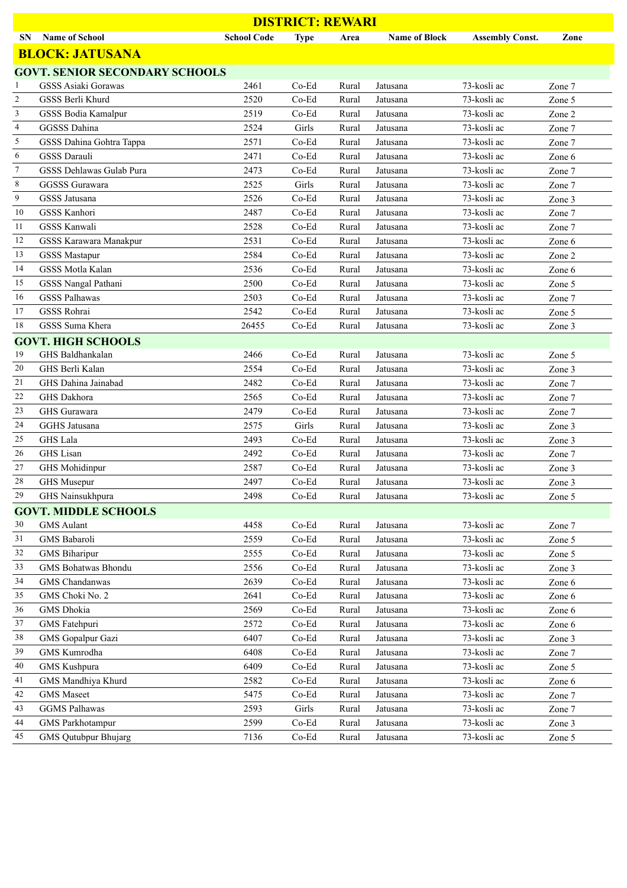| <b>DISTRICT: REWARI</b>  |                                       |                    |             |       |                      |                        |        |  |
|--------------------------|---------------------------------------|--------------------|-------------|-------|----------------------|------------------------|--------|--|
| <b>SN</b>                | <b>Name of School</b>                 | <b>School Code</b> | <b>Type</b> | Area  | <b>Name of Block</b> | <b>Assembly Const.</b> | Zone   |  |
|                          | <b>BLOCK: JATUSANA</b>                |                    |             |       |                      |                        |        |  |
|                          | <b>GOVT. SENIOR SECONDARY SCHOOLS</b> |                    |             |       |                      |                        |        |  |
| 1                        | <b>GSSS Asiaki Gorawas</b>            | 2461               | Co-Ed       | Rural | Jatusana             | 73-kosli ac            | Zone 7 |  |
| $\mathfrak{2}$           | GSSS Berli Khurd                      | 2520               | Co-Ed       | Rural | Jatusana             | 73-kosli ac            | Zone 5 |  |
| 3                        | GSSS Bodia Kamalpur                   | 2519               | Co-Ed       | Rural | Jatusana             | 73-kosli ac            | Zone 2 |  |
| $\overline{\mathcal{L}}$ | GGSSS Dahina                          | 2524               | Girls       | Rural | Jatusana             | 73-kosli ac            | Zone 7 |  |
| 5                        | GSSS Dahina Gohtra Tappa              | 2571               | Co-Ed       | Rural | Jatusana             | 73-kosli ac            | Zone 7 |  |
| 6                        | <b>GSSS Darauli</b>                   | 2471               | Co-Ed       | Rural | Jatusana             | 73-kosli ac            | Zone 6 |  |
| $\tau$                   | GSSS Dehlawas Gulab Pura              | 2473               | Co-Ed       | Rural | Jatusana             | 73-kosli ac            | Zone 7 |  |
| 8                        | GGSSS Gurawara                        | 2525               | Girls       | Rural | Jatusana             | 73-kosli ac            | Zone 7 |  |
| 9                        | <b>GSSS</b> Jatusana                  | 2526               | Co-Ed       | Rural | Jatusana             | 73-kosli ac            | Zone 3 |  |
| 10                       | GSSS Kanhori                          | 2487               | Co-Ed       | Rural | Jatusana             | 73-kosli ac            | Zone 7 |  |
| 11                       | <b>GSSS Kanwali</b>                   | 2528               | Co-Ed       | Rural | Jatusana             | 73-kosli ac            | Zone 7 |  |
| 12                       | GSSS Karawara Manakpur                | 2531               | Co-Ed       | Rural | Jatusana             | 73-kosli ac            | Zone 6 |  |
| 13                       | <b>GSSS Mastapur</b>                  | 2584               | Co-Ed       | Rural | Jatusana             | 73-kosli ac            | Zone 2 |  |
| 14                       | GSSS Motla Kalan                      | 2536               | Co-Ed       | Rural | Jatusana             | 73-kosli ac            | Zone 6 |  |
| 15                       | GSSS Nangal Pathani                   | 2500               | Co-Ed       | Rural | Jatusana             | 73-kosli ac            | Zone 5 |  |
| 16                       | <b>GSSS Palhawas</b>                  | 2503               | Co-Ed       | Rural | Jatusana             | 73-kosli ac            | Zone 7 |  |
| 17                       | GSSS Rohrai                           | 2542               | Co-Ed       | Rural | Jatusana             | 73-kosli ac            | Zone 5 |  |
| 18                       | GSSS Suma Khera                       | 26455              | Co-Ed       | Rural | Jatusana             | 73-kosli ac            | Zone 3 |  |
|                          | <b>GOVT. HIGH SCHOOLS</b>             |                    |             |       |                      |                        |        |  |
| 19                       | GHS Baldhankalan                      | 2466               | Co-Ed       | Rural | Jatusana             | 73-kosli ac            | Zone 5 |  |
| 20                       | GHS Berli Kalan                       | 2554               | Co-Ed       | Rural | Jatusana             | 73-kosli ac            | Zone 3 |  |
| 21                       | GHS Dahina Jainabad                   | 2482               | Co-Ed       | Rural | Jatusana             | 73-kosli ac            | Zone 7 |  |
| 22                       | GHS Dakhora                           | 2565               | Co-Ed       | Rural | Jatusana             | 73-kosli ac            | Zone 7 |  |
| 23                       | GHS Gurawara                          | 2479               | Co-Ed       | Rural | Jatusana             | 73-kosli ac            | Zone 7 |  |
| 24                       | <b>GGHS</b> Jatusana                  | 2575               | Girls       | Rural | Jatusana             | 73-kosli ac            | Zone 3 |  |
| 25                       | <b>GHS</b> Lala                       | 2493               | Co-Ed       | Rural | Jatusana             | 73-kosli ac            | Zone 3 |  |
| 26                       | <b>GHS</b> Lisan                      | 2492               | Co-Ed       | Rural | Jatusana             | 73-kosli ac            | Zone 7 |  |
| 27                       | <b>GHS</b> Mohidinpur                 | 2587               | $Co-Ed$     | Rural | Jatusana             | 73-kosli ac            | Zone 3 |  |
| 28                       | GHS Musepur                           | 2497               | $Co-Ed$     | Rural | Jatusana             | 73-kosli ac            | Zone 3 |  |
| 29                       | GHS Nainsukhpura                      | 2498               | Co-Ed       | Rural | Jatusana             | 73-kosli ac            | Zone 5 |  |
|                          | <b>GOVT. MIDDLE SCHOOLS</b>           |                    |             |       |                      |                        |        |  |
| 30                       | <b>GMS</b> Aulant                     | 4458               | $Co-Ed$     | Rural | Jatusana             | 73-kosli ac            | Zone 7 |  |
| 31                       | GMS Babaroli                          | 2559               | Co-Ed       | Rural | Jatusana             | 73-kosli ac            | Zone 5 |  |
| 32                       | <b>GMS</b> Biharipur                  | 2555               | Co-Ed       | Rural | Jatusana             | 73-kosli ac            | Zone 5 |  |
| 33                       | GMS Bohatwas Bhondu                   | 2556               | Co-Ed       | Rural | Jatusana             | 73-kosli ac            | Zone 3 |  |
| 34                       | GMS Chandanwas                        | 2639               | Co-Ed       | Rural | Jatusana             | 73-kosli ac            | Zone 6 |  |
| 35                       | GMS Choki No. 2                       | 2641               | Co-Ed       | Rural | Jatusana             | 73-kosli ac            | Zone 6 |  |
| 36                       | <b>GMS</b> Dhokia                     | 2569               | Co-Ed       | Rural | Jatusana             | 73-kosli ac            | Zone 6 |  |
| 37                       | GMS Fatehpuri                         | 2572               | Co-Ed       | Rural | Jatusana             | 73-kosli ac            | Zone 6 |  |
| 38                       | GMS Gopalpur Gazi                     | 6407               | $Co-Ed$     | Rural | Jatusana             | 73-kosli ac            | Zone 3 |  |
| 39                       | GMS Kumrodha                          | 6408               | Co-Ed       | Rural | Jatusana             | 73-kosli ac            | Zone 7 |  |
| 40                       | GMS Kushpura                          | 6409               | Co-Ed       | Rural | Jatusana             | 73-kosli ac            | Zone 5 |  |
| 41                       | GMS Mandhiya Khurd                    | 2582               | Co-Ed       | Rural | Jatusana             | 73-kosli ac            | Zone 6 |  |
| 42                       | <b>GMS</b> Maseet                     | 5475               | Co-Ed       | Rural | Jatusana             | 73-kosli ac            | Zone 7 |  |
| 43                       | <b>GGMS Palhawas</b>                  | 2593               | Girls       | Rural | Jatusana             | 73-kosli ac            | Zone 7 |  |
| 44                       | <b>GMS</b> Parkhotampur               | 2599               | Co-Ed       | Rural | Jatusana             | 73-kosli ac            | Zone 3 |  |
| 45                       | <b>GMS</b> Qutubpur Bhujarg           | 7136               | Co-Ed       | Rural | Jatusana             | 73-kosli ac            | Zone 5 |  |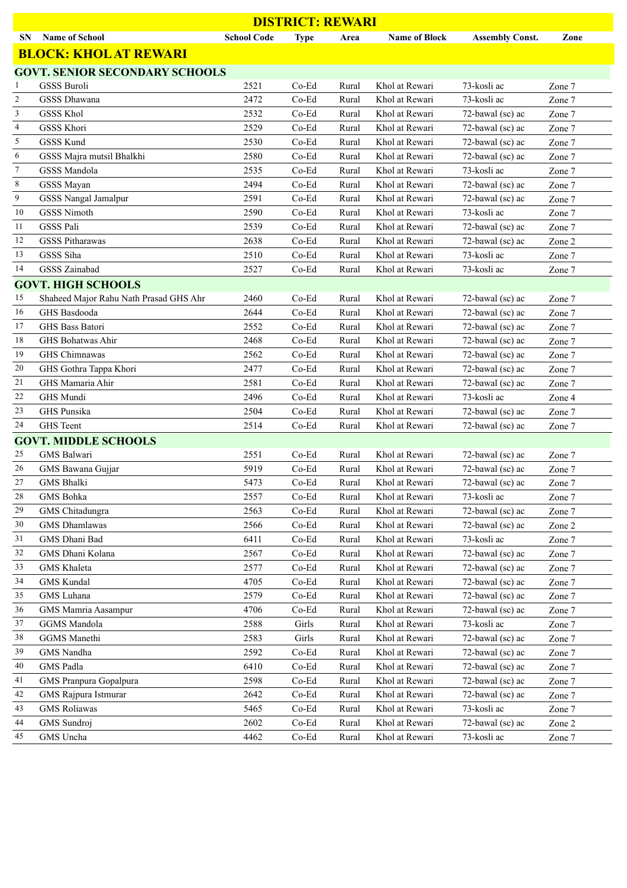| <b>DISTRICT: REWARI</b> |                                        |                    |             |       |                      |                        |        |  |
|-------------------------|----------------------------------------|--------------------|-------------|-------|----------------------|------------------------|--------|--|
| <b>SN</b>               | <b>Name of School</b>                  | <b>School Code</b> | <b>Type</b> | Area  | <b>Name of Block</b> | <b>Assembly Const.</b> | Zone   |  |
|                         | <b>BLOCK: KHOL AT REWARI</b>           |                    |             |       |                      |                        |        |  |
|                         | <b>GOVT. SENIOR SECONDARY SCHOOLS</b>  |                    |             |       |                      |                        |        |  |
| 1                       | <b>GSSS Buroli</b>                     | 2521               | $Co-Ed$     | Rural | Khol at Rewari       | 73-kosli ac            | Zone 7 |  |
| $\overline{c}$          | <b>GSSS Dhawana</b>                    | 2472               | Co-Ed       | Rural | Khol at Rewari       | 73-kosli ac            | Zone 7 |  |
| 3                       | <b>GSSS Khol</b>                       | 2532               | Co-Ed       | Rural | Khol at Rewari       | 72-bawal (sc) ac       | Zone 7 |  |
| 4                       | <b>GSSS Khori</b>                      | 2529               | $Co-Ed$     | Rural | Khol at Rewari       | 72-bawal (sc) ac       | Zone 7 |  |
| 5                       | GSSS Kund                              | 2530               | Co-Ed       | Rural | Khol at Rewari       | 72-bawal (sc) ac       | Zone 7 |  |
| 6                       | GSSS Majra mutsil Bhalkhi              | 2580               | $Co-Ed$     | Rural | Khol at Rewari       | 72-bawal (sc) ac       | Zone 7 |  |
| $\tau$                  | GSSS Mandola                           | 2535               | $Co-Ed$     | Rural | Khol at Rewari       | 73-kosli ac            | Zone 7 |  |
| 8                       | GSSS Mayan                             | 2494               | $Co-Ed$     | Rural | Khol at Rewari       | 72-bawal (sc) ac       | Zone 7 |  |
| $\boldsymbol{9}$        | GSSS Nangal Jamalpur                   | 2591               | Co-Ed       | Rural | Khol at Rewari       | 72-bawal (sc) ac       | Zone 7 |  |
| 10                      | <b>GSSS Nimoth</b>                     | 2590               | Co-Ed       | Rural | Khol at Rewari       | 73-kosli ac            | Zone 7 |  |
| 11                      | <b>GSSS Pali</b>                       | 2539               | Co-Ed       | Rural | Khol at Rewari       | 72-bawal (sc) ac       | Zone 7 |  |
| 12                      | <b>GSSS Pitharawas</b>                 | 2638               | Co-Ed       | Rural | Khol at Rewari       | 72-bawal (sc) ac       | Zone 2 |  |
| 13                      | GSSS Siha                              | 2510               | Co-Ed       | Rural | Khol at Rewari       | 73-kosli ac            | Zone 7 |  |
| 14                      | <b>GSSS Zainabad</b>                   | 2527               | $Co-Ed$     | Rural | Khol at Rewari       | 73-kosli ac            | Zone 7 |  |
|                         | <b>GOVT. HIGH SCHOOLS</b>              |                    |             |       |                      |                        |        |  |
| 15                      | Shaheed Major Rahu Nath Prasad GHS Ahr | 2460               | $Co-Ed$     | Rural | Khol at Rewari       | 72-bawal (sc) ac       | Zone 7 |  |
| 16                      | GHS Basdooda                           | 2644               | Co-Ed       | Rural | Khol at Rewari       | 72-bawal (sc) ac       | Zone 7 |  |
| 17                      | GHS Bass Batori                        | 2552               | $Co-Ed$     | Rural | Khol at Rewari       | 72-bawal (sc) ac       | Zone 7 |  |
| 18                      | GHS Bohatwas Ahir                      | 2468               | Co-Ed       | Rural | Khol at Rewari       | 72-bawal (sc) ac       | Zone 7 |  |
| 19                      | GHS Chimnawas                          | 2562               | Co-Ed       | Rural | Khol at Rewari       | 72-bawal (sc) ac       | Zone 7 |  |
| 20                      | GHS Gothra Tappa Khori                 | 2477               | $Co-Ed$     | Rural | Khol at Rewari       | 72-bawal (sc) ac       | Zone 7 |  |
| 21                      | GHS Mamaria Ahir                       | 2581               | $Co-Ed$     | Rural | Khol at Rewari       | 72-bawal (sc) ac       | Zone 7 |  |
| 22                      | GHS Mundi                              | 2496               | Co-Ed       | Rural | Khol at Rewari       | 73-kosli ac            | Zone 4 |  |
| 23                      | GHS Punsika                            | 2504               | Co-Ed       | Rural | Khol at Rewari       | 72-bawal (sc) ac       | Zone 7 |  |
| 24                      | GHS Teent                              | 2514               | Co-Ed       | Rural | Khol at Rewari       | 72-bawal (sc) ac       | Zone 7 |  |
|                         | <b>GOVT. MIDDLE SCHOOLS</b>            |                    |             |       |                      |                        |        |  |
| 25                      | GMS Balwari                            | 2551               | Co-Ed       | Rural | Khol at Rewari       | 72-bawal (sc) ac       | Zone 7 |  |
| 26                      | GMS Bawana Gujjar                      | 5919               | Co-Ed       | Rural | Khol at Rewari       | 72-bawal (sc) ac       | Zone 7 |  |
| $27\,$                  | GMS Bhalki                             | 5473               | $Co-Ed$     | Rural | Khol at Rewari       | 72-bawal (sc) ac       | Zone 7 |  |
| 28                      | GMS Bohka                              | 2557               | Co-Ed       | Rural | Khol at Rewari       | 73-kosli ac            | Zone 7 |  |
| 29                      | GMS Chitadungra                        | 2563               | $Co-Ed$     | Rural | Khol at Rewari       | 72-bawal (sc) ac       | Zone 7 |  |
| 30                      | <b>GMS</b> Dhamlawas                   | 2566               | Co-Ed       | Rural | Khol at Rewari       | 72-bawal (sc) ac       | Zone 2 |  |
| 31                      | GMS Dhani Bad                          | 6411               | $Co-Ed$     | Rural | Khol at Rewari       | 73-kosli ac            | Zone 7 |  |
| 32                      | GMS Dhani Kolana                       | 2567               | Co-Ed       | Rural | Khol at Rewari       | 72-bawal (sc) ac       | Zone 7 |  |
| 33                      | <b>GMS</b> Khaleta                     | 2577               | $Co-Ed$     | Rural | Khol at Rewari       | 72-bawal (sc) ac       | Zone 7 |  |
| 34                      | <b>GMS</b> Kundal                      | 4705               | $Co-Ed$     | Rural | Khol at Rewari       | 72-bawal (sc) ac       | Zone 7 |  |
| 35                      | GMS Luhana                             | 2579               | $Co-Ed$     | Rural | Khol at Rewari       | 72-bawal (sc) ac       | Zone 7 |  |
| 36                      | GMS Mamria Aasampur                    | 4706               | Co-Ed       | Rural | Khol at Rewari       | 72-bawal (sc) ac       | Zone 7 |  |
| 37                      | GGMS Mandola                           | 2588               | Girls       | Rural | Khol at Rewari       | 73-kosli ac            | Zone 7 |  |
| 38                      | GGMS Manethi                           | 2583               | Girls       | Rural | Khol at Rewari       | 72-bawal (sc) ac       | Zone 7 |  |
| 39                      | GMS Nandha                             | 2592               | Co-Ed       | Rural | Khol at Rewari       | 72-bawal (sc) ac       | Zone 7 |  |
| 40                      | <b>GMS</b> Padla                       | 6410               | Co-Ed       | Rural | Khol at Rewari       | 72-bawal (sc) ac       | Zone 7 |  |
| 41                      | GMS Pranpura Gopalpura                 | 2598               | Co-Ed       | Rural | Khol at Rewari       | 72-bawal (sc) ac       | Zone 7 |  |
| 42                      | GMS Rajpura Istmurar                   | 2642               | $Co-Ed$     | Rural | Khol at Rewari       | 72-bawal (sc) ac       | Zone 7 |  |
| 43                      | <b>GMS</b> Roliawas                    | 5465               | Co-Ed       | Rural | Khol at Rewari       | 73-kosli ac            | Zone 7 |  |
| 44                      | GMS Sundroj                            | 2602               | Co-Ed       | Rural | Khol at Rewari       | 72-bawal (sc) ac       | Zone 2 |  |
| 45                      | GMS Uncha                              | 4462               | $Co-Ed$     | Rural | Khol at Rewari       | 73-kosli ac            | Zone 7 |  |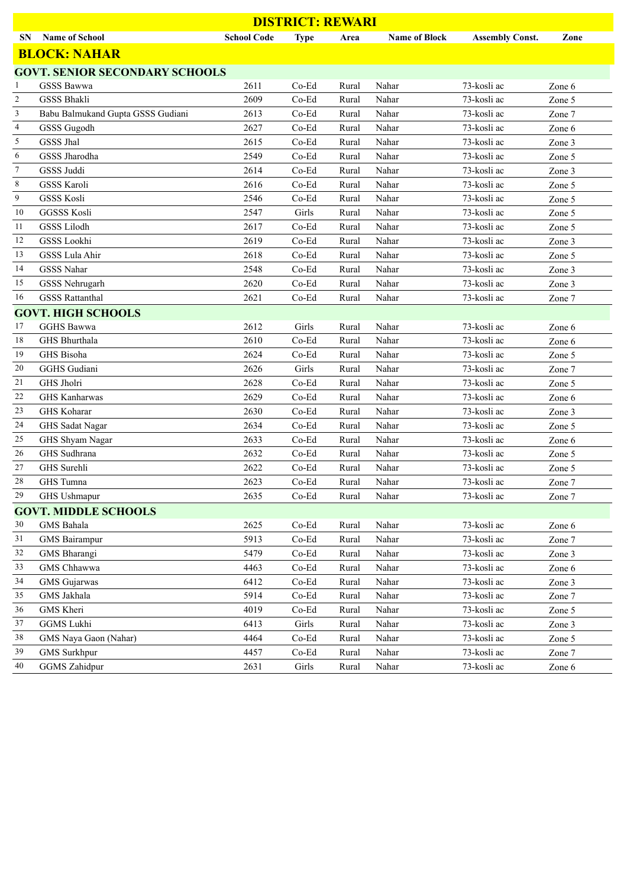|                | <b>DISTRICT: REWARI</b>               |                    |             |       |                      |                        |        |  |  |
|----------------|---------------------------------------|--------------------|-------------|-------|----------------------|------------------------|--------|--|--|
| <b>SN</b>      | <b>Name of School</b>                 | <b>School Code</b> | <b>Type</b> | Area  | <b>Name of Block</b> | <b>Assembly Const.</b> | Zone   |  |  |
|                | <b>BLOCK: NAHAR</b>                   |                    |             |       |                      |                        |        |  |  |
|                | <b>GOVT. SENIOR SECONDARY SCHOOLS</b> |                    |             |       |                      |                        |        |  |  |
| 1              | <b>GSSS Bawwa</b>                     | 2611               | $Co-Ed$     | Rural | Nahar                | 73-kosli ac            | Zone 6 |  |  |
| $\overline{c}$ | <b>GSSS Bhakli</b>                    | 2609               | $Co-Ed$     | Rural | Nahar                | 73-kosli ac            | Zone 5 |  |  |
| 3              | Babu Balmukand Gupta GSSS Gudiani     | 2613               | Co-Ed       | Rural | Nahar                | 73-kosli ac            | Zone 7 |  |  |
| 4              | GSSS Gugodh                           | 2627               | Co-Ed       | Rural | Nahar                | 73-kosli ac            | Zone 6 |  |  |
| 5              | GSSS Jhal                             | 2615               | Co-Ed       | Rural | Nahar                | 73-kosli ac            | Zone 3 |  |  |
| 6              | GSSS Jharodha                         | 2549               | Co-Ed       | Rural | Nahar                | 73-kosli ac            | Zone 5 |  |  |
| 7              | GSSS Juddi                            | 2614               | Co-Ed       | Rural | Nahar                | 73-kosli ac            | Zone 3 |  |  |
| 8              | <b>GSSS Karoli</b>                    | 2616               | Co-Ed       | Rural | Nahar                | 73-kosli ac            | Zone 5 |  |  |
| 9              | <b>GSSS Kosli</b>                     | 2546               | Co-Ed       | Rural | Nahar                | 73-kosli ac            | Zone 5 |  |  |
| 10             | <b>GGSSS Kosli</b>                    | 2547               | Girls       | Rural | Nahar                | 73-kosli ac            | Zone 5 |  |  |
| 11             | <b>GSSS Lilodh</b>                    | 2617               | Co-Ed       | Rural | Nahar                | 73-kosli ac            | Zone 5 |  |  |
| 12             | GSSS Lookhi                           | 2619               | Co-Ed       | Rural | Nahar                | 73-kosli ac            | Zone 3 |  |  |
| 13             | <b>GSSS Lula Ahir</b>                 | 2618               | Co-Ed       | Rural | Nahar                | 73-kosli ac            | Zone 5 |  |  |
| 14             | <b>GSSS Nahar</b>                     | 2548               | Co-Ed       | Rural | Nahar                | 73-kosli ac            | Zone 3 |  |  |
| 15             | <b>GSSS Nehrugarh</b>                 | 2620               | $Co-Ed$     | Rural | Nahar                | 73-kosli ac            | Zone 3 |  |  |
| 16             | <b>GSSS Rattanthal</b>                | 2621               | Co-Ed       | Rural | Nahar                | 73-kosli ac            | Zone 7 |  |  |
|                | <b>GOVT. HIGH SCHOOLS</b>             |                    |             |       |                      |                        |        |  |  |
| 17             | <b>GGHS Bawwa</b>                     | 2612               | Girls       | Rural | Nahar                | 73-kosli ac            | Zone 6 |  |  |
| 18             | GHS Bhurthala                         | 2610               | Co-Ed       | Rural | Nahar                | 73-kosli ac            | Zone 6 |  |  |
| 19             | GHS Bisoha                            | 2624               | Co-Ed       | Rural | Nahar                | 73-kosli ac            | Zone 5 |  |  |
| 20             | GGHS Gudiani                          | 2626               | Girls       | Rural | Nahar                | 73-kosli ac            | Zone 7 |  |  |
| 21             | GHS Jholri                            | 2628               | Co-Ed       | Rural | Nahar                | 73-kosli ac            | Zone 5 |  |  |
| 22             | <b>GHS Kanharwas</b>                  | 2629               | Co-Ed       | Rural | Nahar                | 73-kosli ac            | Zone 6 |  |  |
| 23             | GHS Koharar                           | 2630               | Co-Ed       | Rural | Nahar                | 73-kosli ac            | Zone 3 |  |  |
| 24             | <b>GHS</b> Sadat Nagar                | 2634               | Co-Ed       | Rural | Nahar                | 73-kosli ac            | Zone 5 |  |  |
| 25             | GHS Shyam Nagar                       | 2633               | Co-Ed       | Rural | Nahar                | 73-kosli ac            | Zone 6 |  |  |
| 26             | GHS Sudhrana                          | 2632               | $Co-Ed$     | Rural | Nahar                | 73-kosli ac            | Zone 5 |  |  |
| 27             | GHS Surehli                           | 2622               | Co-Ed       | Rural | Nahar                | 73-kosli ac            | Zone 5 |  |  |
| 28             | GHS Tumna                             | 2623               | Co-Ed       | Rural | Nahar                | 73-kosli ac            | Zone 7 |  |  |
| 29             | GHS Ushmapur                          | 2635               | Co-Ed       | Rural | Nahar                | 73-kosli ac            | Zone 7 |  |  |
|                | <b>GOVT. MIDDLE SCHOOLS</b>           |                    |             |       |                      |                        |        |  |  |
| 30             | GMS Bahala                            | 2625               | $Co-Ed$     | Rural | Nahar                | 73-kosli ac            | Zone 6 |  |  |
| 31             | <b>GMS</b> Bairampur                  | 5913               | Co-Ed       | Rural | Nahar                | 73-kosli ac            | Zone 7 |  |  |
| 32             | GMS Bharangi                          | 5479               | $Co-Ed$     | Rural | Nahar                | 73-kosli ac            | Zone 3 |  |  |
| 33             | GMS Chhawwa                           | 4463               | Co-Ed       | Rural | Nahar                | 73-kosli ac            | Zone 6 |  |  |
| 34             | <b>GMS</b> Gujarwas                   | 6412               | Co-Ed       | Rural | Nahar                | 73-kosli ac            | Zone 3 |  |  |
| 35             | GMS Jakhala                           | 5914               | Co-Ed       | Rural | Nahar                | 73-kosli ac            | Zone 7 |  |  |
| 36             | GMS Kheri                             | 4019               | Co-Ed       | Rural | Nahar                | 73-kosli ac            | Zone 5 |  |  |
| 37             | <b>GGMS Lukhi</b>                     | 6413               | Girls       | Rural | Nahar                | 73-kosli ac            | Zone 3 |  |  |
| 38             | GMS Naya Gaon (Nahar)                 | 4464               | Co-Ed       | Rural | Nahar                | 73-kosli ac            | Zone 5 |  |  |
| 39             | <b>GMS</b> Surkhpur                   | 4457               | Co-Ed       | Rural | Nahar                | 73-kosli ac            | Zone 7 |  |  |
| $40\,$         | <b>GGMS</b> Zahidpur                  | 2631               | Girls       | Rural | Nahar                | 73-kosli ac            | Zone 6 |  |  |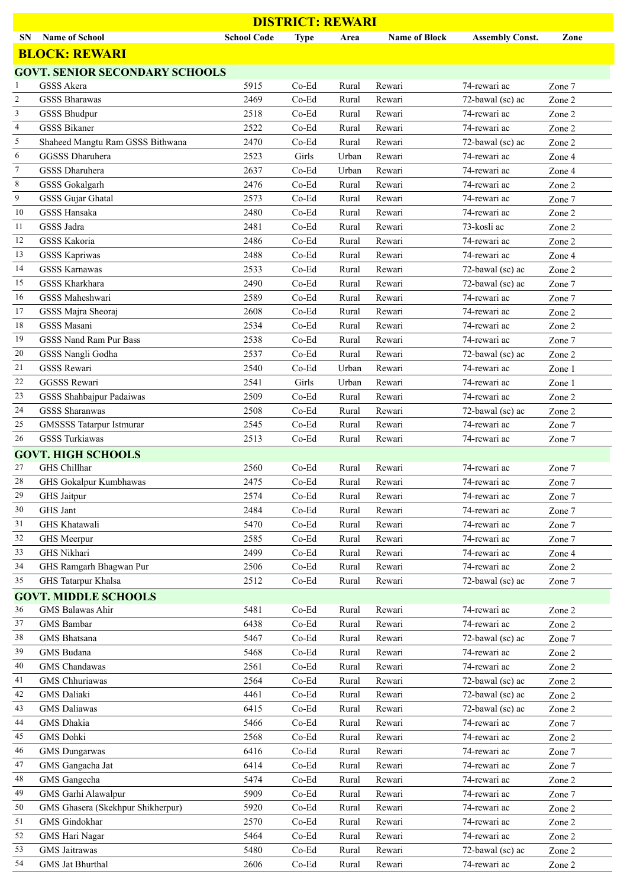|                | <b>DISTRICT: REWARI</b>                                  |                    |                  |                |                      |                                  |        |  |  |
|----------------|----------------------------------------------------------|--------------------|------------------|----------------|----------------------|----------------------------------|--------|--|--|
| SN             | <b>Name of School</b>                                    | <b>School Code</b> | <b>Type</b>      | Area           | <b>Name of Block</b> | <b>Assembly Const.</b>           | Zone   |  |  |
|                | <b>BLOCK: REWARI</b>                                     |                    |                  |                |                      |                                  |        |  |  |
|                | <b>GOVT. SENIOR SECONDARY SCHOOLS</b>                    |                    |                  |                |                      |                                  |        |  |  |
| 1              | <b>GSSS Akera</b>                                        | 5915               | $Co-Ed$          | Rural          | Rewari               | 74-rewari ac                     | Zone 7 |  |  |
| $\overline{c}$ | <b>GSSS Bharawas</b>                                     | 2469               | Co-Ed            | Rural          | Rewari               | 72-bawal (sc) ac                 | Zone 2 |  |  |
| 3              | <b>GSSS Bhudpur</b>                                      | 2518               | Co-Ed            | Rural          | Rewari               | 74-rewari ac                     | Zone 2 |  |  |
| 4              | <b>GSSS Bikaner</b>                                      | 2522               | Co-Ed            | Rural          | Rewari               | 74-rewari ac                     | Zone 2 |  |  |
| 5              | Shaheed Mangtu Ram GSSS Bithwana                         | 2470               | Co-Ed            | Rural          | Rewari               | 72-bawal (sc) ac                 | Zone 2 |  |  |
| 6              | GGSSS Dharuhera                                          | 2523               | Girls            | Urban          | Rewari               | 74-rewari ac                     | Zone 4 |  |  |
| $\tau$         | GSSS Dharuhera                                           | 2637               | Co-Ed            | Urban          | Rewari               | 74-rewari ac                     | Zone 4 |  |  |
| 8              | <b>GSSS</b> Gokalgarh                                    | 2476               | Co-Ed            | Rural          | Rewari               | 74-rewari ac                     | Zone 2 |  |  |
| 9              | GSSS Gujar Ghatal                                        | 2573               | Co-Ed            | Rural          | Rewari               | 74-rewari ac                     | Zone 7 |  |  |
| 10             | GSSS Hansaka                                             | 2480               | Co-Ed            | Rural          | Rewari               | 74-rewari ac                     | Zone 2 |  |  |
| 11             | GSSS Jadra                                               | 2481               | Co-Ed            | Rural          | Rewari               | 73-kosli ac                      | Zone 2 |  |  |
| 12             | GSSS Kakoria                                             | 2486               | Co-Ed            | Rural          | Rewari               | 74-rewari ac                     | Zone 2 |  |  |
| 13             | <b>GSSS Kapriwas</b>                                     | 2488               | Co-Ed            | Rural          | Rewari               | 74-rewari ac                     | Zone 4 |  |  |
| 14             | <b>GSSS Karnawas</b>                                     | 2533               | Co-Ed            | Rural          | Rewari               | 72-bawal (sc) ac                 | Zone 2 |  |  |
| 15             | GSSS Kharkhara                                           | 2490               | Co-Ed            | Rural          | Rewari               | 72-bawal (sc) ac                 | Zone 7 |  |  |
| 16             | GSSS Maheshwari                                          | 2589               | $Co-Ed$          | Rural          | Rewari               | 74-rewari ac                     | Zone 7 |  |  |
| 17             | GSSS Majra Sheoraj                                       | 2608               | Co-Ed            | Rural          | Rewari               | 74-rewari ac                     | Zone 2 |  |  |
| 18             | GSSS Masani                                              | 2534               | Co-Ed            | Rural          | Rewari               | 74-rewari ac                     | Zone 2 |  |  |
| 19             | GSSS Nand Ram Pur Bass                                   | 2538               | Co-Ed            | Rural          | Rewari               | 74-rewari ac                     | Zone 7 |  |  |
| 20             | GSSS Nangli Godha                                        | 2537               | Co-Ed            | Rural          | Rewari               | 72-bawal (sc) ac                 | Zone 2 |  |  |
| 21             | GSSS Rewari                                              | 2540               | Co-Ed            | Urban          | Rewari               | 74-rewari ac                     | Zone 1 |  |  |
| 22             | <b>GGSSS Rewari</b>                                      | 2541               | Girls            | Urban          | Rewari               | 74-rewari ac                     | Zone 1 |  |  |
| 23<br>24       | GSSS Shahbajpur Padaiwas                                 | 2509               | Co-Ed            | Rural          | Rewari               | 74-rewari ac                     | Zone 2 |  |  |
|                | <b>GSSS Sharanwas</b>                                    | 2508               | Co-Ed            | Rural          | Rewari               | 72-bawal (sc) ac<br>74-rewari ac | Zone 2 |  |  |
| 25<br>26       | <b>GMSSSS Tatarpur Istmurar</b><br><b>GSSS Turkiawas</b> | 2545<br>2513       | $Co-Ed$<br>Co-Ed | Rural<br>Rural | Rewari<br>Rewari     | 74-rewari ac                     | Zone 7 |  |  |
|                | <b>GOVT. HIGH SCHOOLS</b>                                |                    |                  |                |                      |                                  | Zone 7 |  |  |
| 27             | GHS Chillhar                                             | 2560               | Co-Ed            | Rural          | Rewari               | 74-rewari ac                     | Zone 7 |  |  |
| 28             | GHS Gokalpur Kumbhawas                                   | 2475               | $Co-Ed$          | Rural          | Rewari               | 74-rewari ac                     | Zone 7 |  |  |
| 29             | GHS Jaitpur                                              | 2574               | $Co-Ed$          | Rural          | Rewari               | 74-rewari ac                     | Zone 7 |  |  |
| 30             | GHS Jant                                                 | 2484               | Co-Ed            | Rural          | Rewari               | 74-rewari ac                     | Zone 7 |  |  |
| 31             | GHS Khatawali                                            | 5470               | Co-Ed            | Rural          | Rewari               | 74-rewari ac                     | Zone 7 |  |  |
| 32             | GHS Meerpur                                              | 2585               | Co-Ed            | Rural          | Rewari               | 74-rewari ac                     | Zone 7 |  |  |
| 33             | GHS Nikhari                                              | 2499               | $Co-Ed$          | Rural          | Rewari               | 74-rewari ac                     | Zone 4 |  |  |
| 34             | GHS Ramgarh Bhagwan Pur                                  | 2506               | $Co-Ed$          | Rural          | Rewari               | 74-rewari ac                     | Zone 2 |  |  |
| 35             | GHS Tatarpur Khalsa                                      | 2512               | $Co-Ed$          | Rural          | Rewari               | 72-bawal (sc) ac                 | Zone 7 |  |  |
|                | <b>GOVT. MIDDLE SCHOOLS</b>                              |                    |                  |                |                      |                                  |        |  |  |
| 36             | GMS Balawas Ahir                                         | 5481               | $Co-Ed$          | Rural          | Rewari               | 74-rewari ac                     | Zone 2 |  |  |
| 37             | <b>GMS</b> Bambar                                        | 6438               | Co-Ed            | Rural          | Rewari               | 74-rewari ac                     | Zone 2 |  |  |
| 38             | GMS Bhatsana                                             | 5467               | Co-Ed            | Rural          | Rewari               | 72-bawal (sc) ac                 | Zone 7 |  |  |
| 39             | GMS Budana                                               | 5468               | Co-Ed            | Rural          | Rewari               | 74-rewari ac                     | Zone 2 |  |  |
| 40             | GMS Chandawas                                            | 2561               | $Co-Ed$          | Rural          | Rewari               | 74-rewari ac                     | Zone 2 |  |  |
| 41             | GMS Chhuriawas                                           | 2564               | Co-Ed            | Rural          | Rewari               | 72-bawal (sc) ac                 | Zone 2 |  |  |
| 42             | <b>GMS</b> Daliaki                                       | 4461               | Co-Ed            | Rural          | Rewari               | 72-bawal (sc) ac                 | Zone 2 |  |  |
| 43             | <b>GMS</b> Daliawas                                      | 6415               | Co-Ed            | Rural          | Rewari               | 72-bawal (sc) ac                 | Zone 2 |  |  |
| 44             | GMS Dhakia                                               | 5466               | Co-Ed            | Rural          | Rewari               | 74-rewari ac                     | Zone 7 |  |  |
| 45             | <b>GMS</b> Dohki                                         | 2568               | Co-Ed            | Rural          | Rewari               | 74-rewari ac                     | Zone 2 |  |  |
| 46             | <b>GMS</b> Dungarwas                                     | 6416               | Co-Ed            | Rural          | Rewari               | 74-rewari ac                     | Zone 7 |  |  |
| 47             | GMS Gangacha Jat                                         | 6414               | Co-Ed            | Rural          | Rewari               | 74-rewari ac                     | Zone 7 |  |  |
| 48             | GMS Gangecha                                             | 5474               | $Co-Ed$          | Rural          | Rewari               | 74-rewari ac                     | Zone 2 |  |  |
| 49             | GMS Garhi Alawalpur                                      | 5909               | $Co-Ed$          | Rural          | Rewari               | 74-rewari ac                     | Zone 7 |  |  |
| 50             | GMS Ghasera (Skekhpur Shikherpur)                        | 5920               | Co-Ed            | Rural          | Rewari               | 74-rewari ac                     | Zone 2 |  |  |
| 51             | GMS Gindokhar                                            | 2570               | Co-Ed            | Rural          | Rewari               | 74-rewari ac                     | Zone 2 |  |  |
| 52             | GMS Hari Nagar                                           | 5464               | $Co-Ed$          | Rural          | Rewari               | 74-rewari ac                     | Zone 2 |  |  |
| 53             | <b>GMS</b> Jaitrawas                                     | 5480               | $Co-Ed$          | Rural          | Rewari               | 72-bawal (sc) ac                 | Zone 2 |  |  |
| 54             | GMS Jat Bhurthal                                         | 2606               | $Co-Ed$          | Rural          | Rewari               | 74-rewari ac                     | Zone 2 |  |  |